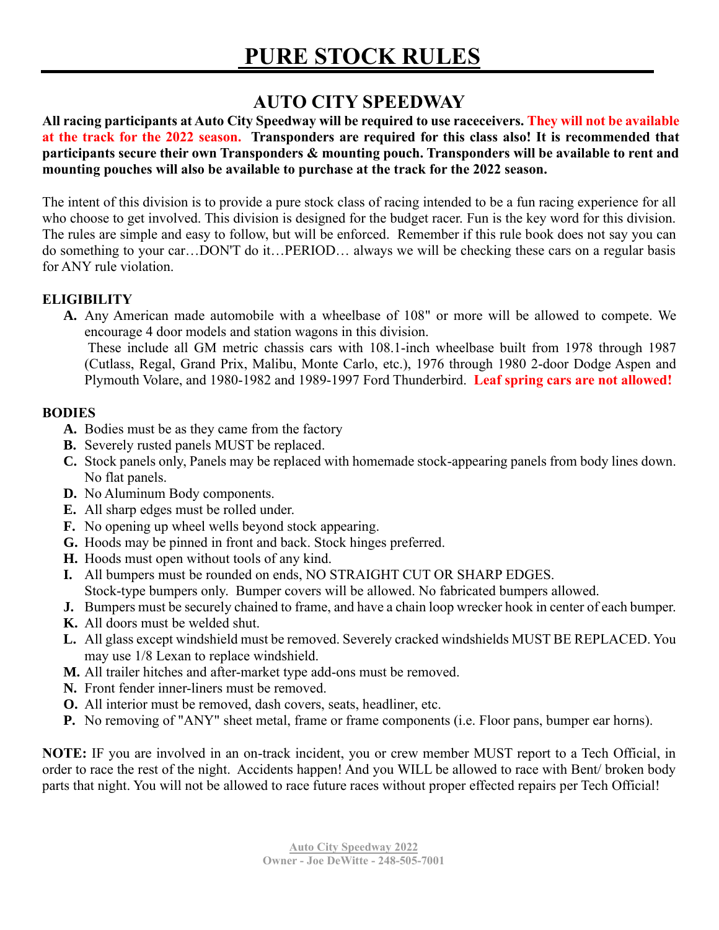# **AUTO CITY SPEEDWAY**

**All racing participants at Auto City Speedway will be required to use raceceivers. They will not be available at the track for the 2022 season. Transponders are required for this class also! It is recommended that participants secure their own Transponders & mounting pouch. Transponders will be available to rent and mounting pouches will also be available to purchase at the track for the 2022 season.**

The intent of this division is to provide a pure stock class of racing intended to be a fun racing experience for all who choose to get involved. This division is designed for the budget racer. Fun is the key word for this division. The rules are simple and easy to follow, but will be enforced. Remember if this rule book does not say you can do something to your car…DON'T do it…PERIOD… always we will be checking these cars on a regular basis for ANY rule violation.

#### **ELIGIBILITY**

**A.** Any American made automobile with a wheelbase of 108" or more will be allowed to compete. We encourage 4 door models and station wagons in this division.

These include all GM metric chassis cars with 108.1-inch wheelbase built from 1978 through 1987 (Cutlass, Regal, Grand Prix, Malibu, Monte Carlo, etc.), 1976 through 1980 2-door Dodge Aspen and Plymouth Volare, and 1980-1982 and 1989-1997 Ford Thunderbird. **Leaf spring cars are not allowed!**

#### **BODIES**

- **A.** Bodies must be as they came from the factory
- **B.** Severely rusted panels MUST be replaced.
- **C.** Stock panels only, Panels may be replaced with homemade stock-appearing panels from body lines down. No flat panels.
- **D.** No Aluminum Body components.
- **E.** All sharp edges must be rolled under.
- **F.** No opening up wheel wells beyond stock appearing.
- **G.** Hoods may be pinned in front and back. Stock hinges preferred.
- **H.** Hoods must open without tools of any kind.
- **I.** All bumpers must be rounded on ends, NO STRAIGHT CUT OR SHARP EDGES. Stock-type bumpers only. Bumper covers will be allowed. No fabricated bumpers allowed.
- **J.** Bumpers must be securely chained to frame, and have a chain loop wrecker hook in center of each bumper.
- **K.** All doors must be welded shut.
- **L.** All glass except windshield must be removed. Severely cracked windshields MUST BE REPLACED. You may use 1/8 Lexan to replace windshield.
- **M.** All trailer hitches and after-market type add-ons must be removed.
- **N.** Front fender inner-liners must be removed.
- **O.** All interior must be removed, dash covers, seats, headliner, etc.
- **P.** No removing of "ANY" sheet metal, frame or frame components (i.e. Floor pans, bumper ear horns).

**NOTE:** IF you are involved in an on-track incident, you or crew member MUST report to a Tech Official, in order to race the rest of the night. Accidents happen! And you WILL be allowed to race with Bent/ broken body parts that night. You will not be allowed to race future races without proper effected repairs per Tech Official!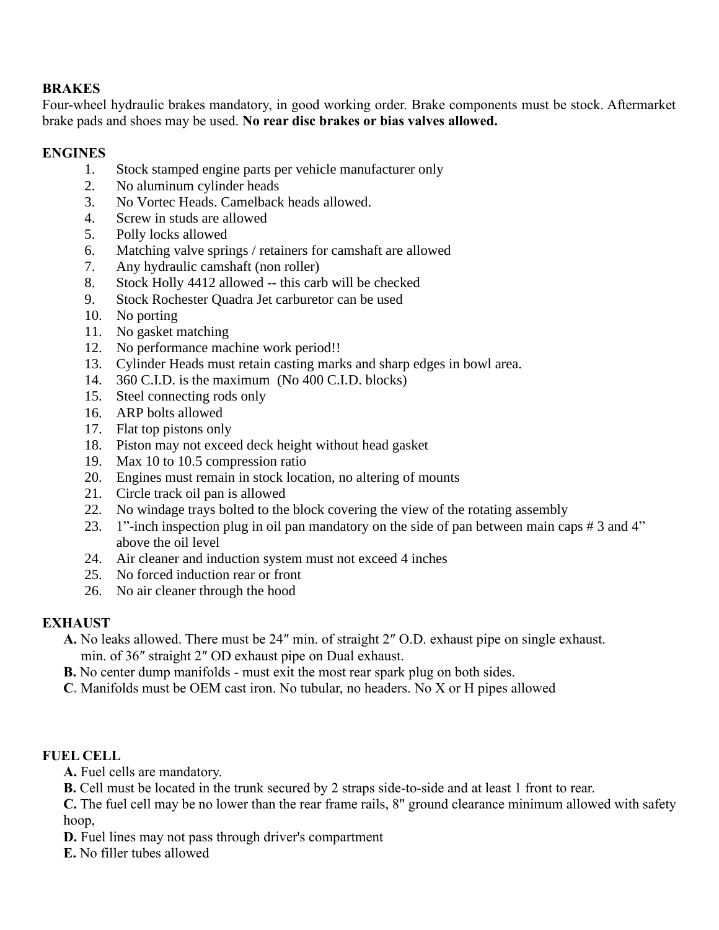### **BRAKES**

Four-wheel hydraulic brakes mandatory, in good working order. Brake components must be stock. Aftermarket brake pads and shoes may be used. **No rear disc brakes or bias valves allowed.**

#### **ENGINES**

- 1. Stock stamped engine parts per vehicle manufacturer only
- 2. No aluminum cylinder heads
- 3. No Vortec Heads. Camelback heads allowed.
- 4. Screw in studs are allowed
- 5. Polly locks allowed
- 6. Matching valve springs / retainers for camshaft are allowed
- 7. Any hydraulic camshaft (non roller)
- 8. Stock Holly 4412 allowed -- this carb will be checked
- 9. Stock Rochester Quadra Jet carburetor can be used
- 10. No porting
- 11. No gasket matching
- 12. No performance machine work period!!
- 13. Cylinder Heads must retain casting marks and sharp edges in bowl area.
- 14. 360 C.I.D. is the maximum (No 400 C.I.D. blocks)
- 15. Steel connecting rods only
- 16. ARP bolts allowed
- 17. Flat top pistons only
- 18. Piston may not exceed deck height without head gasket
- 19. Max 10 to 10.5 compression ratio
- 20. Engines must remain in stock location, no altering of mounts
- 21. Circle track oil pan is allowed
- 22. No windage trays bolted to the block covering the view of the rotating assembly
- 23. 1"-inch inspection plug in oil pan mandatory on the side of pan between main caps # 3 and 4" above the oil level
- 24. Air cleaner and induction system must not exceed 4 inches
- 25. No forced induction rear or front
- 26. No air cleaner through the hood

## **EXHAUST**

- **A.** No leaks allowed. There must be 24″ min. of straight 2″ O.D. exhaust pipe on single exhaust. min. of 36″ straight 2″ OD exhaust pipe on Dual exhaust.
- **B.** No center dump manifolds must exit the most rear spark plug on both sides.
- **C.** Manifolds must be OEM cast iron. No tubular, no headers. No X or H pipes allowed

## **FUEL CELL**

**A.** Fuel cells are mandatory.

**B.** Cell must be located in the trunk secured by 2 straps side-to-side and at least 1 front to rear.

**C.** The fuel cell may be no lower than the rear frame rails, 8" ground clearance minimum allowed with safety hoop,

- **D.** Fuel lines may not pass through driver's compartment
- **E.** No filler tubes allowed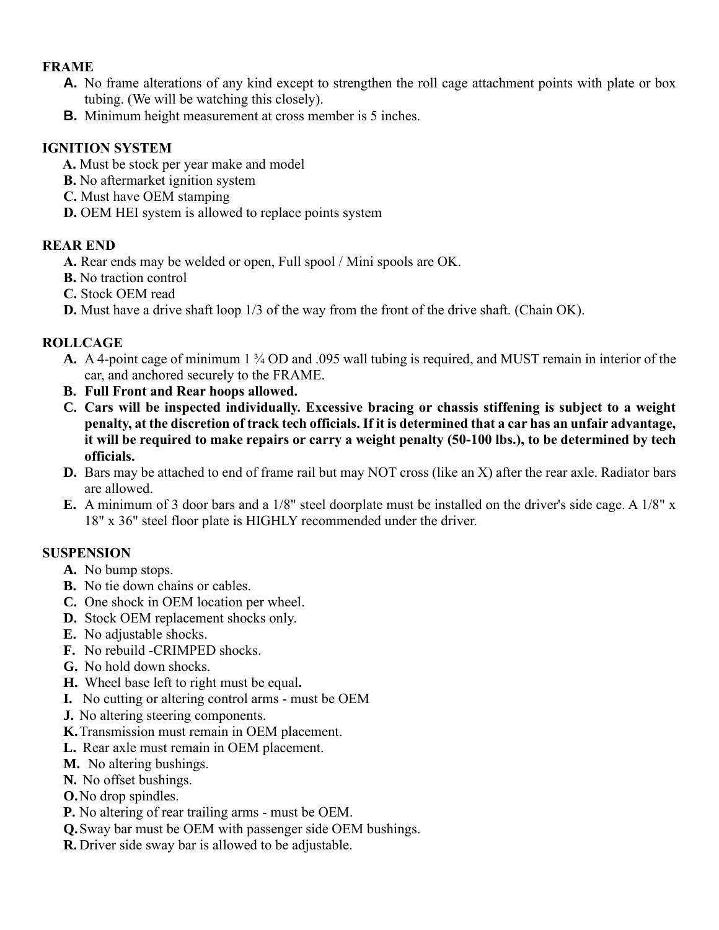#### **FRAME**

- **A.** No frame alterations of any kind except to strengthen the roll cage attachment points with plate or box tubing. (We will be watching this closely).
- **B.** Minimum height measurement at cross member is 5 inches.

### **IGNITION SYSTEM**

- **A.** Must be stock per year make and model
- **B.** No aftermarket ignition system
- **C.** Must have OEM stamping
- **D.** OEM HEI system is allowed to replace points system

#### **REAR END**

- **A.** Rear ends may be welded or open, Full spool / Mini spools are OK.
- **B.** No traction control
- **C.** Stock OEM read
- **D.** Must have a drive shaft loop 1/3 of the way from the front of the drive shaft. (Chain OK).

### **ROLLCAGE**

- **A.** A 4-point cage of minimum 1 ¾ OD and .095 wall tubing is required, and MUST remain in interior of the car, and anchored securely to the FRAME.
- **B. Full Front and Rear hoops allowed.**
- **C. Cars will be inspected individually. Excessive bracing or chassis stiffening is subject to a weight penalty, at the discretion of track tech officials. If it is determined that a car has an unfair advantage, it will be required to make repairs or carry a weight penalty (50-100 lbs.), to be determined by tech officials.**
- **D.** Bars may be attached to end of frame rail but may NOT cross (like an X) after the rear axle. Radiator bars are allowed.
- **E.** A minimum of 3 door bars and a 1/8" steel doorplate must be installed on the driver's side cage. A 1/8" x 18" x 36" steel floor plate is HIGHLY recommended under the driver.

#### **SUSPENSION**

- **A.** No bump stops.
- **B.** No tie down chains or cables.
- **C.** One shock in OEM location per wheel.
- **D.** Stock OEM replacement shocks only.
- **E.** No adjustable shocks.
- **F.** No rebuild -CRIMPED shocks.
- **G.** No hold down shocks.
- **H.** Wheel base left to right must be equal**.**
- **I.** No cutting or altering control arms must be OEM
- **J.** No altering steering components.
- **K.**Transmission must remain in OEM placement.
- **L.** Rear axle must remain in OEM placement.
- **M.** No altering bushings.
- **N.** No offset bushings.
- **O.**No drop spindles.
- **P.** No altering of rear trailing arms must be OEM.
- **Q.**Sway bar must be OEM with passenger side OEM bushings.
- **R.** Driver side sway bar is allowed to be adjustable.